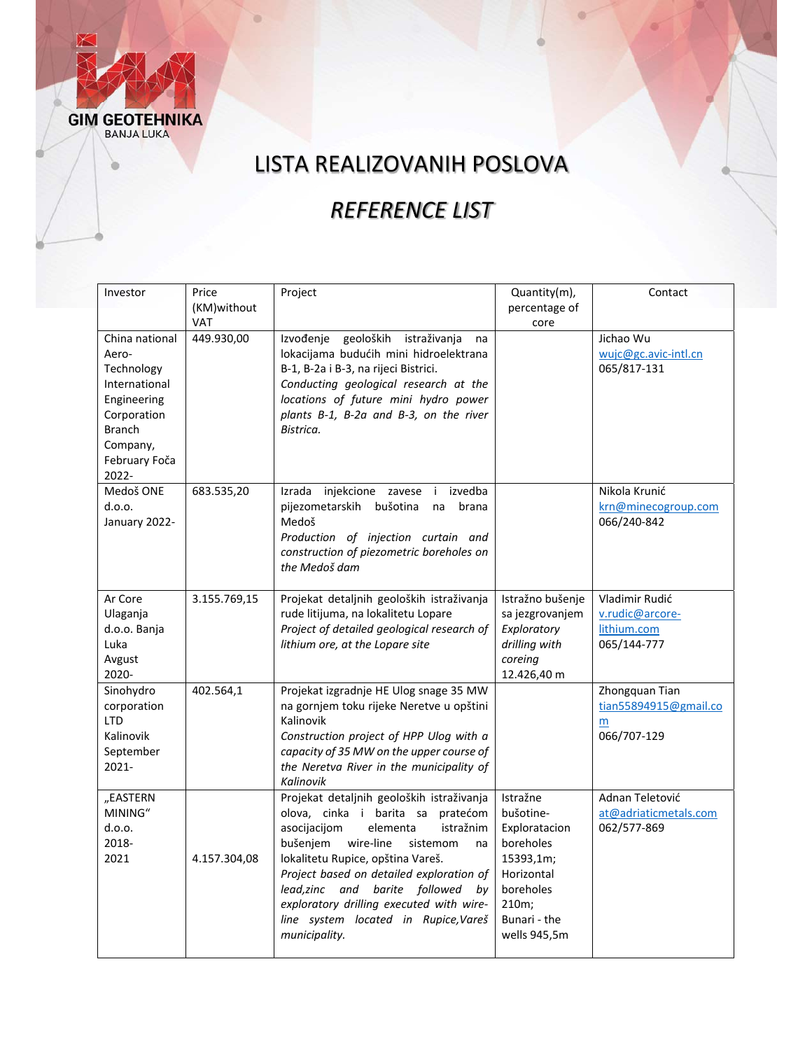ö

### LISTA REALIZOVANIH POSLOVA

### *REFERENCE LIST*

| Investor            | Price        | Project                                                                           | Quantity(m),     | Contact               |
|---------------------|--------------|-----------------------------------------------------------------------------------|------------------|-----------------------|
|                     | (KM)without  |                                                                                   | percentage of    |                       |
|                     | <b>VAT</b>   |                                                                                   | core             |                       |
| China national      | 449.930,00   | Izvođenje<br>geoloških<br>istraživanja<br>na                                      |                  | Jichao Wu             |
| Aero-               |              | lokacijama budućih mini hidroelektrana                                            |                  | wujc@gc.avic-intl.cn  |
| Technology          |              | B-1, B-2a i B-3, na rijeci Bistrici.                                              |                  | 065/817-131           |
| International       |              | Conducting geological research at the                                             |                  |                       |
| Engineering         |              | locations of future mini hydro power                                              |                  |                       |
| Corporation         |              | plants B-1, B-2a and B-3, on the river                                            |                  |                       |
| <b>Branch</b>       |              | Bistrica.                                                                         |                  |                       |
| Company,            |              |                                                                                   |                  |                       |
| February Foča       |              |                                                                                   |                  |                       |
| 2022-<br>Medoš ONE  |              |                                                                                   |                  | Nikola Krunić         |
| d.o.o.              | 683.535,20   | Izrada injekcione zavese i izvedba<br>pijezometarskih<br>bušotina<br>brana<br>na  |                  | krn@minecogroup.com   |
| January 2022-       |              | Medoš                                                                             |                  | 066/240-842           |
|                     |              | Production of injection curtain and                                               |                  |                       |
|                     |              | construction of piezometric boreholes on                                          |                  |                       |
|                     |              | the Medoš dam                                                                     |                  |                       |
|                     |              |                                                                                   |                  |                       |
| Ar Core             | 3.155.769,15 | Projekat detaljnih geoloških istraživanja                                         | Istražno bušenje | Vladimir Rudić        |
| Ulaganja            |              | rude litijuma, na lokalitetu Lopare                                               | sa jezgrovanjem  | v.rudic@arcore-       |
| d.o.o. Banja        |              | Project of detailed geological research of                                        | Exploratory      | lithium.com           |
| Luka                |              | lithium ore, at the Lopare site                                                   | drilling with    | 065/144-777           |
| Avgust              |              |                                                                                   | coreing          |                       |
| 2020-               |              |                                                                                   | 12.426,40 m      |                       |
| Sinohydro           | 402.564,1    | Projekat izgradnje HE Ulog snage 35 MW                                            |                  | Zhongquan Tian        |
| corporation         |              | na gornjem toku rijeke Neretve u opštini                                          |                  | tian55894915@gmail.co |
| <b>LTD</b>          |              | Kalinovik                                                                         |                  | m                     |
| Kalinovik           |              | Construction project of HPP Ulog with a                                           |                  | 066/707-129           |
| September           |              | capacity of 35 MW on the upper course of                                          |                  |                       |
| 2021-               |              | the Neretva River in the municipality of                                          |                  |                       |
|                     |              | Kalinovik                                                                         | Istražne         | Adnan Teletović       |
| "EASTERN<br>MINING" |              | Projekat detaljnih geoloških istraživanja<br>olova, cinka i barita sa<br>pratećom | bušotine-        | at@adriaticmetals.com |
| d.o.o.              |              | asocijacijom<br>istražnim<br>elementa                                             | Exploratacion    | 062/577-869           |
| 2018-               |              | bušenjem<br>wire-line<br>sistemom<br>na                                           | boreholes        |                       |
| 2021                | 4.157.304,08 | lokalitetu Rupice, opština Vareš.                                                 | 15393,1m;        |                       |
|                     |              | Project based on detailed exploration of                                          | Horizontal       |                       |
|                     |              | lead,zinc and barite followed<br>bv                                               | boreholes        |                       |
|                     |              | exploratory drilling executed with wire-                                          | 210m;            |                       |
|                     |              | line system located in Rupice, Vareš                                              | Bunari - the     |                       |
|                     |              | municipality.                                                                     | wells 945,5m     |                       |
|                     |              |                                                                                   |                  |                       |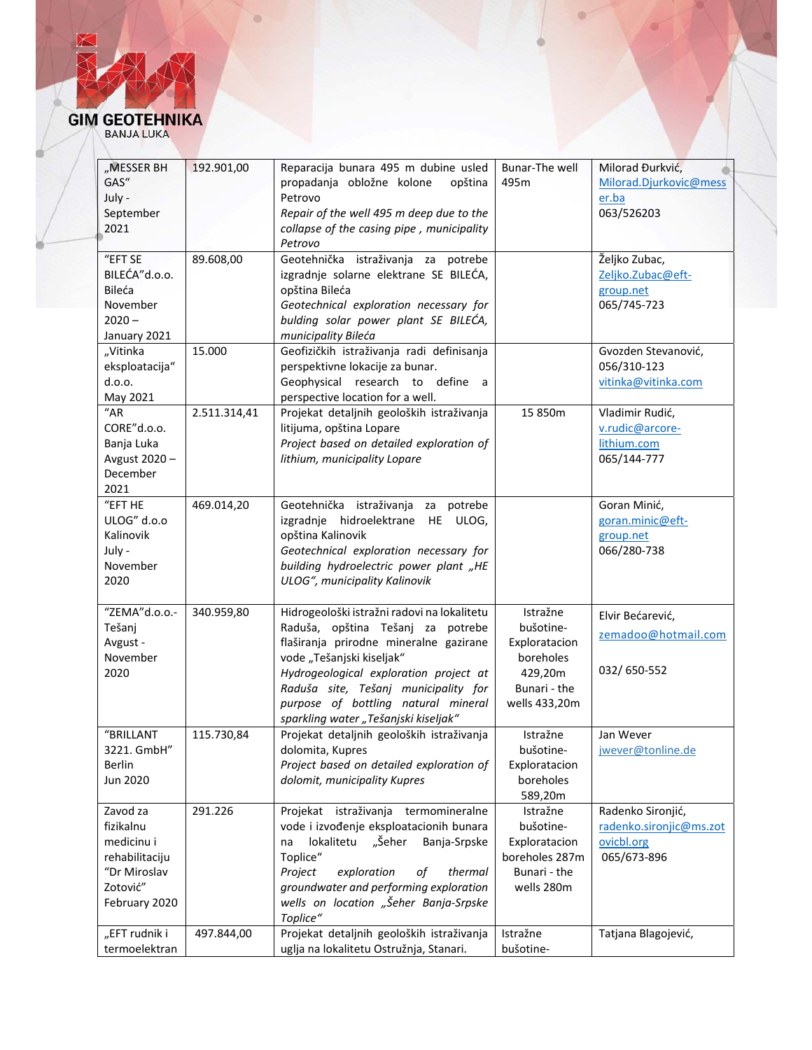ö

| "MESSER BH          | 192.901,00   | Reparacija bunara 495 m dubine usled        | Bunar-The well | Milorad Đurkvić,        |
|---------------------|--------------|---------------------------------------------|----------------|-------------------------|
| GAS"                |              | propadanja obložne kolone<br>opština        | 495m           | Milorad.Djurkovic@mess  |
| July -              |              | Petrovo                                     |                | er.ba                   |
| September           |              | Repair of the well 495 m deep due to the    |                | 063/526203              |
| 2021                |              | collapse of the casing pipe, municipality   |                |                         |
|                     |              | Petrovo                                     |                |                         |
| "EFT SE             | 89.608,00    | Geotehnička istraživanja za potrebe         |                | Željko Zubac,           |
| BILEĆA"d.o.o.       |              | izgradnje solarne elektrane SE BILEĆA,      |                | Zeljko.Zubac@eft-       |
| Bileća              |              | opština Bileća                              |                | group.net               |
| November            |              | Geotechnical exploration necessary for      |                | 065/745-723             |
| $2020 -$            |              | bulding solar power plant SE BILEĆA,        |                |                         |
| January 2021        |              | municipality Bileća                         |                |                         |
| "Vitinka            | 15.000       | Geofizičkih istraživanja radi definisanja   |                | Gvozden Stevanović,     |
| eksploatacija"      |              | perspektivne lokacije za bunar.             |                | 056/310-123             |
| d.o.o.              |              | Geophysical research to define              |                |                         |
|                     |              | a -                                         |                | vitinka@vitinka.com     |
| May 2021            |              | perspective location for a well.            |                |                         |
| $\overline{u}_{AR}$ | 2.511.314,41 | Projekat detaljnih geoloških istraživanja   | 15 850m        | Vladimir Rudić,         |
| CORE"d.o.o.         |              | litijuma, opština Lopare                    |                | v.rudic@arcore-         |
| Banja Luka          |              | Project based on detailed exploration of    |                | lithium.com             |
| Avgust 2020-        |              | lithium, municipality Lopare                |                | 065/144-777             |
| December            |              |                                             |                |                         |
| 2021                |              |                                             |                |                         |
| "EFT HE             | 469.014,20   | Geotehnička istraživanja<br>potrebe<br>za   |                | Goran Minić,            |
| ULOG" d.o.o         |              | izgradnje hidroelektrane HE ULOG,           |                | goran.minic@eft-        |
| Kalinovik           |              | opština Kalinovik                           |                | group.net               |
| July -              |              | Geotechnical exploration necessary for      |                | 066/280-738             |
| November            |              | building hydroelectric power plant "HE      |                |                         |
| 2020                |              | ULOG", municipality Kalinovik               |                |                         |
|                     |              |                                             |                |                         |
| "ZEMA"d.o.o.-       | 340.959,80   | Hidrogeološki istražni radovi na lokalitetu | Istražne       |                         |
| Tešanj              |              | Raduša, opština Tešanj za potrebe           | bušotine-      | Elvir Bećarević,        |
| Avgust -            |              | flaširanja prirodne mineralne gazirane      | Exploratacion  | zemadoo@hotmail.com     |
| November            |              | vode "Tešanjski kiseljak"                   | boreholes      |                         |
| 2020                |              |                                             | 429,20m        | 032/650-552             |
|                     |              | Hydrogeological exploration project at      |                |                         |
|                     |              | Raduša site, Tešanj municipality for        | Bunari - the   |                         |
|                     |              | purpose of bottling natural mineral         | wells 433,20m  |                         |
|                     |              | sparkling water "Tešanjski kiseljak"        |                |                         |
| "BRILLANT           | 115.730,84   | Projekat detaljnih geoloških istraživanja   | Istražne       | Jan Wever               |
| 3221. GmbH"         |              | dolomita, Kupres                            | bušotine-      | jwever@tonline.de       |
| Berlin              |              | Project based on detailed exploration of    | Exploratacion  |                         |
| Jun 2020            |              | dolomit, municipality Kupres                | boreholes      |                         |
|                     |              |                                             | 589,20m        |                         |
| Zavod za            | 291.226      | Projekat istraživanja termomineralne        | Istražne       | Radenko Sironjić,       |
| fizikalnu           |              | vode i izvođenje eksploatacionih bunara     | bušotine-      | radenko.sironjic@ms.zot |
| medicinu i          |              | lokalitetu "Šeher<br>Banja-Srpske<br>na     | Exploratacion  | ovicbl.org              |
| rehabilitaciju      |              | Toplice"                                    | boreholes 287m | 065/673-896             |
| "Dr Miroslav        |              | Project<br>exploration<br>thermal<br>оf     | Bunari - the   |                         |
| Zotović"            |              | groundwater and performing exploration      | wells 280m     |                         |
| February 2020       |              | wells on location "Šeher Banja-Srpske       |                |                         |
|                     |              | Toplice"                                    |                |                         |
| "EFT rudnik i       | 497.844,00   | Projekat detaljnih geoloških istraživanja   | Istražne       | Tatjana Blagojević,     |
| termoelektran       |              |                                             | bušotine-      |                         |
|                     |              | uglja na lokalitetu Ostružnja, Stanari.     |                |                         |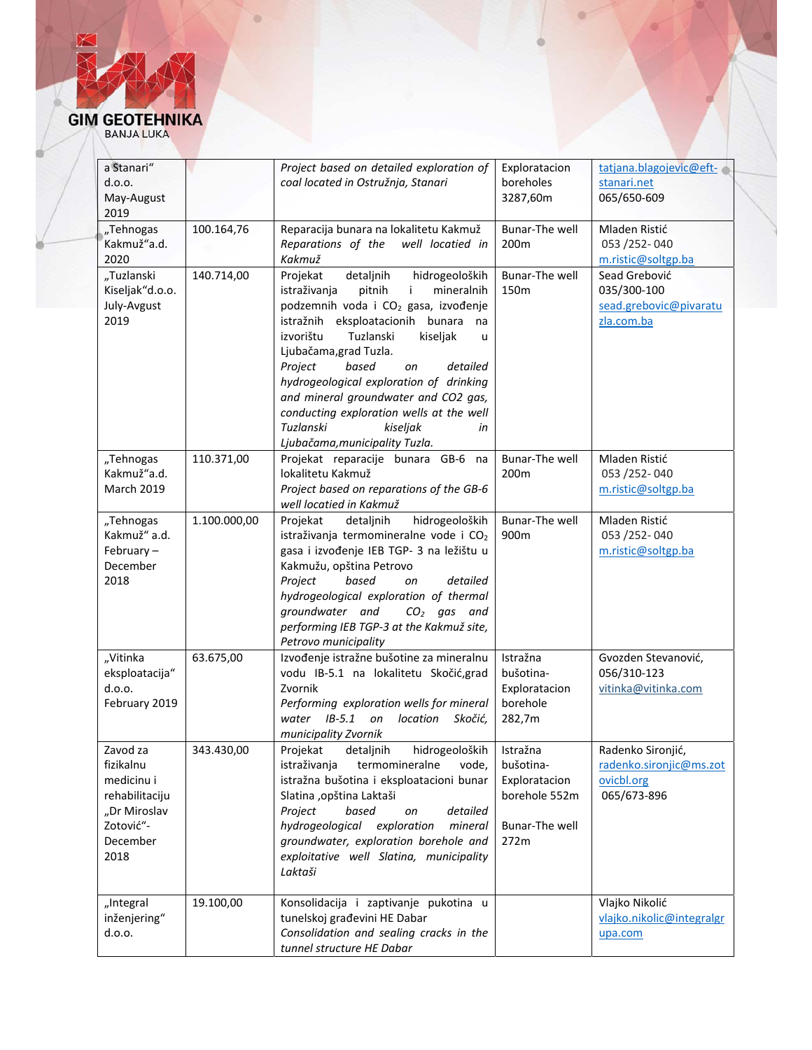ö

| BANJA LUKA |  |
|------------|--|
|            |  |

| a Stanari"        |              | Project based on detailed exploration of           | Exploratacion         | tatjana.blagojevic@eft-   |
|-------------------|--------------|----------------------------------------------------|-----------------------|---------------------------|
| d.o.o.            |              | coal located in Ostružnja, Stanari                 | boreholes             | stanari.net               |
| May-August        |              |                                                    | 3287,60m              | 065/650-609               |
| 2019              |              |                                                    |                       |                           |
| "Tehnogas         | 100.164,76   | Reparacija bunara na lokalitetu Kakmuž             | <b>Bunar-The well</b> | Mladen Ristić             |
| Kakmuž"a.d.       |              | Reparations of the<br>well locatied in             | 200m                  | 053 /252-040              |
| 2020              |              | Kakmuž                                             |                       | m.ristic@soltgp.ba        |
| "Tuzlanski        | 140.714,00   | detaljnih<br>Projekat<br>hidrogeoloških            | Bunar-The well        | Sead Grebović             |
|                   |              |                                                    |                       |                           |
| Kiseljak"d.o.o.   |              | istraživanja<br>pitnih<br>mineralnih<br>j.         | 150m                  | 035/300-100               |
| July-Avgust       |              | podzemnih voda i CO <sub>2</sub> gasa, izvođenje   |                       | sead.grebovic@pivaratu    |
| 2019              |              | istražnih eksploatacionih bunara<br>na             |                       | zla.com.ba                |
|                   |              | izvorištu<br>Tuzlanski<br>kiseljak<br>$\mathbf{u}$ |                       |                           |
|                   |              | Ljubačama, grad Tuzla.                             |                       |                           |
|                   |              | Project<br>based<br>on<br>detailed                 |                       |                           |
|                   |              | hydrogeological exploration of drinking            |                       |                           |
|                   |              | and mineral groundwater and CO2 gas,               |                       |                           |
|                   |              | conducting exploration wells at the well           |                       |                           |
|                   |              | Tuzlanski<br>kiseljak<br>in                        |                       |                           |
|                   |              |                                                    |                       |                           |
|                   |              | Ljubačama, municipality Tuzla.                     |                       |                           |
| "Tehnogas         | 110.371,00   | Projekat reparacije bunara GB-6 na                 | Bunar-The well        | Mladen Ristić             |
| Kakmuž"a.d.       |              | lokalitetu Kakmuž                                  | 200m                  | 053 / 252 - 040           |
| <b>March 2019</b> |              | Project based on reparations of the GB-6           |                       | m.ristic@soltgp.ba        |
|                   |              | well locatied in Kakmuž                            |                       |                           |
| "Tehnogas         | 1.100.000,00 | hidrogeoloških<br>detaljnih<br>Projekat            | <b>Bunar-The well</b> | Mladen Ristić             |
| Kakmuž" a.d.      |              | istraživanja termomineralne vode i CO <sub>2</sub> | 900m                  | 053 / 252 - 040           |
| February-         |              | gasa i izvođenje IEB TGP- 3 na ležištu u           |                       | m.ristic@soltgp.ba        |
| December          |              | Kakmužu, opština Petrovo                           |                       |                           |
| 2018              |              | based<br>Project<br>on<br>detailed                 |                       |                           |
|                   |              | hydrogeological exploration of thermal             |                       |                           |
|                   |              | groundwater and<br>$CO2$ gas and                   |                       |                           |
|                   |              |                                                    |                       |                           |
|                   |              | performing IEB TGP-3 at the Kakmuž site,           |                       |                           |
|                   |              | Petrovo municipality                               |                       |                           |
| "Vitinka          | 63.675,00    | Izvođenje istražne bušotine za mineralnu           | Istražna              | Gvozden Stevanović,       |
| eksploatacija"    |              | vodu IB-5.1 na lokalitetu Skočić, grad             | bušotina-             | 056/310-123               |
| d.o.o.            |              | Zvornik                                            | Exploratacion         | vitinka@vitinka.com       |
| February 2019     |              | Performing exploration wells for mineral           | borehole              |                           |
|                   |              | water IB-5.1 on location<br>Skočić,                | 282,7m                |                           |
|                   |              | municipality Zvornik                               |                       |                           |
| Zavod za          | 343.430,00   | Projekat detaljnih hidrogeoloških Istražna         |                       | Radenko Sironjić,         |
| fizikalnu         |              | istraživanja<br>termomineralne<br>vode,            | bušotina-             | radenko.sironjic@ms.zot   |
| medicinu i        |              | istražna bušotina i eksploatacioni bunar           | Exploratacion         | ovicbl.org                |
|                   |              |                                                    |                       |                           |
| rehabilitaciju    |              | Slatina , opština Laktaši                          | borehole 552m         | 065/673-896               |
| "Dr Miroslav      |              | Project<br>based<br>detailed<br>on                 |                       |                           |
| Zotović"-         |              | hydrogeological exploration<br>mineral             | Bunar-The well        |                           |
| December          |              | groundwater, exploration borehole and              | 272m                  |                           |
| 2018              |              | exploitative well Slatina, municipality            |                       |                           |
|                   |              | Laktaši                                            |                       |                           |
|                   |              |                                                    |                       |                           |
| "Integral         | 19.100,00    | Konsolidacija i zaptivanje pukotina u              |                       | Vlajko Nikolić            |
| inženjering"      |              | tunelskoj građevini HE Dabar                       |                       | vlajko.nikolic@integralgr |
| d.o.o.            |              | Consolidation and sealing cracks in the            |                       | upa.com                   |
|                   |              | tunnel structure HE Dabar                          |                       |                           |
|                   |              |                                                    |                       |                           |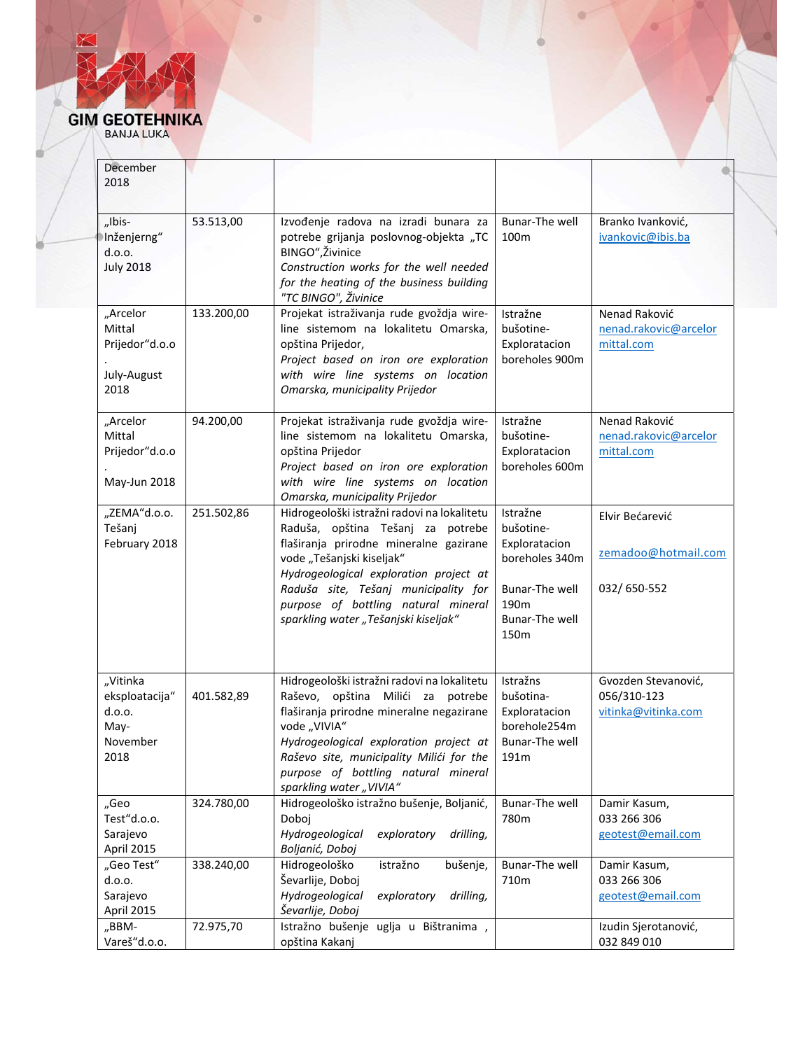ö

| December                                                         |            |                                                                                                                                                                                                                                                                                                                          |                                                                                                              |                                                           |
|------------------------------------------------------------------|------------|--------------------------------------------------------------------------------------------------------------------------------------------------------------------------------------------------------------------------------------------------------------------------------------------------------------------------|--------------------------------------------------------------------------------------------------------------|-----------------------------------------------------------|
| 2018                                                             |            |                                                                                                                                                                                                                                                                                                                          |                                                                                                              |                                                           |
| "Ibis-<br>Inženjerng"<br>d.o.o.<br><b>July 2018</b>              | 53.513,00  | Izvođenje radova na izradi bunara za<br>potrebe grijanja poslovnog-objekta "TC<br>BINGO", Živinice<br>Construction works for the well needed<br>for the heating of the business building<br>"TC BINGO", Živinice                                                                                                         | Bunar-The well<br>100 <sub>m</sub>                                                                           | Branko Ivanković,<br>ivankovic@ibis.ba                    |
| "Arcelor<br>Mittal<br>Prijedor"d.o.o<br>July-August<br>2018      | 133.200,00 | Projekat istraživanja rude gvoždja wire-<br>line sistemom na lokalitetu Omarska,<br>opština Prijedor,<br>Project based on iron ore exploration<br>with wire line systems on location<br>Omarska, municipality Prijedor                                                                                                   | Istražne<br>bušotine-<br>Exploratacion<br>boreholes 900m                                                     | Nenad Raković<br>nenad.rakovic@arcelor<br>mittal.com      |
| "Arcelor<br>Mittal<br>Prijedor"d.o.o<br>May-Jun 2018             | 94.200,00  | Projekat istraživanja rude gvoždja wire-<br>line sistemom na lokalitetu Omarska,<br>opština Prijedor<br>Project based on iron ore exploration<br>with wire line systems on location<br>Omarska, municipality Prijedor                                                                                                    | Istražne<br>bušotine-<br>Exploratacion<br>boreholes 600m                                                     | Nenad Raković<br>nenad.rakovic@arcelor<br>mittal.com      |
| "ZEMA"d.o.o.<br>Tešanj<br>February 2018                          | 251.502,86 | Hidrogeološki istražni radovi na lokalitetu<br>Raduša, opština Tešanj za potrebe<br>flaširanja prirodne mineralne gazirane<br>vode "Tešanjski kiseljak"<br>Hydrogeological exploration project at<br>Raduša site, Tešanj municipality for<br>purpose of bottling natural mineral<br>sparkling water "Tešanjski kiseljak" | Istražne<br>bušotine-<br>Exploratacion<br>boreholes 340m<br>Bunar-The well<br>190m<br>Bunar-The well<br>150m | Elvir Bećarević<br>zemadoo@hotmail.com<br>032/650-552     |
| "Vitinka<br>eksploatacija"<br>d.o.o.<br>May-<br>November<br>2018 | 401.582,89 | Hidrogeološki istražni radovi na lokalitetu<br>Raševo, opština Milići za potrebe<br>flaširanja prirodne mineralne negazirane<br>vode "VIVIA"<br>Hydrogeological exploration project at<br>Raševo site, municipality Milići for the<br>purpose of bottling natural mineral<br>sparkling water "VIVIA"                     | Istražns<br>bušotina-<br>Exploratacion<br>borehole254m<br><b>Bunar-The well</b><br>191m                      | Gvozden Stevanović,<br>056/310-123<br>vitinka@vitinka.com |
| "Geo<br>Test"d.o.o.<br>Sarajevo<br>April 2015                    | 324.780,00 | Hidrogeološko istražno bušenje, Boljanić,<br>Doboj<br>Hydrogeological<br>exploratory<br>drilling,<br>Boljanić, Doboj                                                                                                                                                                                                     | Bunar-The well<br>780m                                                                                       | Damir Kasum,<br>033 266 306<br>geotest@email.com          |
| "Geo Test"<br>d.o.o.<br>Sarajevo<br>April 2015                   | 338.240,00 | Hidrogeološko<br>istražno<br>bušenje,<br>Ševarlije, Doboj<br>Hydrogeological<br>exploratory<br>drilling,<br>Ševarlije, Doboj                                                                                                                                                                                             | <b>Bunar-The well</b><br>710m                                                                                | Damir Kasum,<br>033 266 306<br>geotest@email.com          |
| "BBM-<br>Vareš"d.o.o.                                            | 72.975,70  | Istražno bušenje uglja u Bištranima,<br>opština Kakanj                                                                                                                                                                                                                                                                   |                                                                                                              | Izudin Sjerotanović,<br>032 849 010                       |